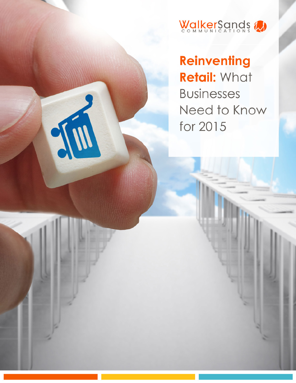

**Reinventing Retail: What Businesses** Need to Know for 2015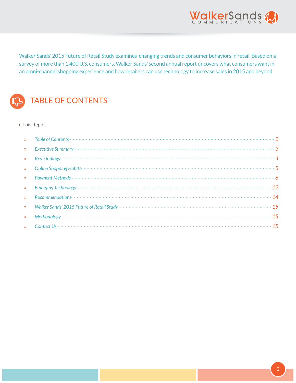

Walker Sands' 2015 Future of Retail Study examines changing trends and consumer behaviors in retail. Based on a survey of more than 1,400 U.S. consumers, Walker Sands' second annual report uncovers what consumers want in an omni-channel shopping experience and how retailers can use technology to increase sales in 2015 and beyond.



# TABLE OF CONTENTS

In This Report

| $\mathbf{v}$     |                 |  |
|------------------|-----------------|--|
| $\mathbf{y}$     |                 |  |
| $\mathbf{y}$     |                 |  |
| $\sum_{i=1}^{n}$ |                 |  |
| $\mathbf{v}$     | Payment Methods |  |
| $\mathbf{y}$     |                 |  |
| $\mathbf{v}$     |                 |  |
| $\mathbf{v}$     |                 |  |
| $\mathbf{y}$     |                 |  |
|                  |                 |  |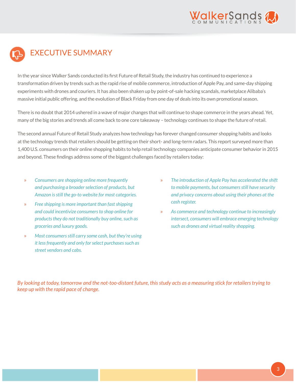

# <span id="page-2-0"></span>EXECUTIVE SUMMARY

In the year since Walker Sands conducted its first Future of Retail Study, the industry has continued to experience a transformation driven by trends such as the rapid rise of mobile commerce, introduction of Apple Pay, and same-day shipping experiments with drones and couriers. It has also been shaken up by point-of-sale hacking scandals, marketplace Alibaba's massive initial public offering, and the evolution of Black Friday from one day of deals into its own promotional season.

There is no doubt that 2014 ushered in a wave of major changes that will continue to shape commerce in the years ahead. Yet, many of the big stories and trends all come back to one core takeaway – technology continues to shape the future of retail.

The second annual Future of Retail Study analyzes how technology has forever changed consumer shopping habits and looks at the technology trends that retailers should be getting on their short- and long-term radars. This report surveyed more than 1,400 U.S. consumers on their online shopping habits to help retail technology companies anticipate consumer behavior in 2015 and beyond. These findings address some of the biggest challenges faced by retailers today:

- » *Consumers are shopping online more frequently and purchasing a broader selection of products, but Amazon is still the go-to website for most categories.*
- » *Free shipping is more important than fast shipping and could incentivize consumers to shop online for products they do not traditionally buy online, such as groceries and luxury goods.*
- » *Most consumers still carry some cash, but they're using it less frequently and only for select purchases such as street vendors and cabs.*
- » *The introduction of Apple Pay has accelerated the shift to mobile payments, but consumers still have security and privacy concerns about using their phones at the cash register.*
- » *As commerce and technology continue to increasingly intersect, consumers will embrace emerging technology such as drones and virtual reality shopping.*

*By looking at today, tomorrow and the not-too-distant future, this study acts as a measuring stick for retailers trying to keep up with the rapid pace of change.*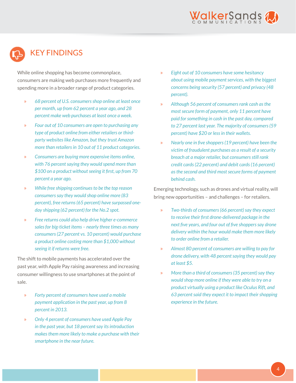

# <span id="page-3-0"></span>KEY FINDINGS

While online shopping has become commonplace, consumers are making web purchases more frequently and spending more in a broader range of product categories.

- » *68 percent of U.S. consumers shop online at least once per month, up from 62 percent a year ago, and 28 percent make web purchases at least once a week.*
- » *Four out of 10 consumers are open to purchasing any type of product online from either retailers or thirdparty websites like Amazon, but they trust Amazon more than retailers in 10 out of 11 product categories.*
- » *Consumers are buying more expensive items online, with 76 percent saying they would spend more than \$100 on a product without seeing it first, up from 70 percent a year ago.*
- » *While free shipping continues to be the top reason consumers say they would shop online more (83 percent), free returns (65 percent) have surpassed oneday shipping (62 percent) for the No.2 spot.*
- » *Free returns could also help drive higher e-commerce sales for big-ticket items – nearly three times as many consumers (27 percent vs. 10 percent) would purchase a product online costing more than \$1,000 without seeing it if returns were free.*

The shift to mobile payments has accelerated over the past year, with Apple Pay raising awareness and increasing consumer willingness to use smartphones at the point of sale.

- » *Forty percent of consumers have used a mobile payment application in the past year, up from 8 percent in 2013.*
- » *Only 4 percent of consumers have used Apple Pay in the past year, but 18 percent say its introduction makes them more likely to make a purchase with their smartphone in the near future.*
- » *Eight out of 10 consumers have some hesitancy about using mobile payment services, with the biggest concerns being security (57 percent) and privacy (48 percent).*
- » *Although 56 percent of consumers rank cash as the most secure form of payment, only 11 percent have paid for something in cash in the past day, compared to 27 percent last year. The majority of consumers (59 percent) have \$20 or less in their wallets.*
- » *Nearly one in five shoppers (19 percent) have been the victim of fraudulent purchases as a result of a security breach at a major retailer, but consumers still rank credit cards (22 percent) and debit cards (16 percent) as the second and third most secure forms of payment behind cash.*

Emerging technology, such as drones and virtual reality, will bring new opportunities – and challenges – for retailers.

- » *Two-thirds of consumers (66 percent) say they expect to receive their first drone-delivered package in the next five years, and four out of five shoppers say drone delivery within the hour would make them more likely to order online from a retailer.*
- » *Almost 80 percent of consumers are willing to pay for drone delivery, with 48 percent saying they would pay at least \$5.*
- » *More than a third of consumers (35 percent) say they would shop more online if they were able to try on a product virtually using a product like Oculus Rift, and 63 percent said they expect it to impact their shopping experience in the future.*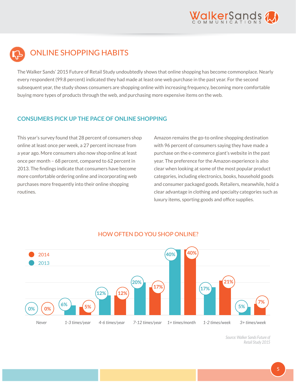

<span id="page-4-0"></span>

The Walker Sands' 2015 Future of Retail Study undoubtedly shows that online shopping has become commonplace. Nearly every respondent (99.8 percent) indicated they had made at least one web purchase in the past year. For the second subsequent year, the study shows consumers are shopping online with increasing frequency, becoming more comfortable buying more types of products through the web, and purchasing more expensive items on the web.

#### **CONSUMERS PICK UP THE PACE OF ONLINE SHOPPING**

This year's survey found that 28 percent of consumers shop online at least once per week, a 27 percent increase from a year ago. More consumers also now shop online at least once per month – 68 percent, compared to 62 percent in 2013. The findings indicate that consumers have become more comfortable ordering online and incorporating web purchases more frequently into their online shopping routines.

Amazon remains the go-to online shopping destination with 96 percent of consumers saying they have made a purchase on the e-commerce giant's website in the past year. The preference for the Amazon experience is also clear when looking at some of the most popular product categories, including electronics, books, household goods and consumer packaged goods. Retailers, meanwhile, hold a clear advantage in clothing and specialty categories such as luxury items, sporting goods and office supplies.



## HOW OFTEN DO YOU SHOP ONLINE?

*Source: Walker Sands Future of Retail Study 2015*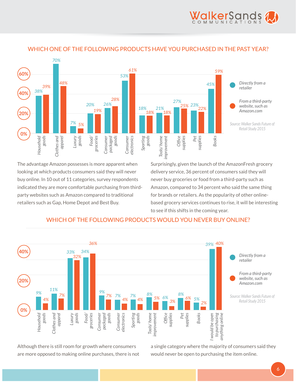



# WHICH ONE OF THE FOLLOWING PRODUCTS HAVE YOU PURCHASED IN THE PAST YEAR?

The advantage Amazon possesses is more apparent when looking at which products consumers said they will never buy online. In 10 out of 11 categories, survey respondents indicated they are more comfortable purchasing from thirdparty websites such as Amazon compared to traditional retailers such as Gap, Home Depot and Best Buy.

Surprisingly, given the launch of the AmazonFresh grocery delivery service, 36 percent of consumers said they will never buy groceries or food from a third-party such as Amazon, compared to 34 percent who said the same thing for brands or retailers. As the popularity of other onlinebased grocery services continues to rise, it will be interesting to see if this shifts in the coming year.



## WHICH OF THE FOLLOWING PRODUCTS WOULD YOU NEVER BUY ONLINE?

Although there is still room for growth where consumers are more opposed to making online purchases, there is not

a single category where the majority of consumers said they would never be open to purchasing the item online.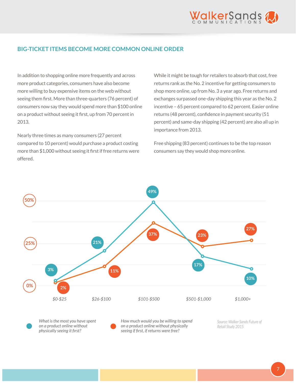

#### **BIG-TICKET ITEMS BECOME MORE COMMON ONLINE ORDER**

In addition to shopping online more frequently and across more product categories, consumers have also become more willing to buy expensive items on the web without seeing them first. More than three-quarters (76 percent) of consumers now say they would spend more than \$100 online on a product without seeing it first, up from 70 percent in 2013.

Nearly three times as many consumers (27 percent compared to 10 percent) would purchase a product costing more than \$1,000 without seeing it first if free returns were offered.

While it might be tough for retailers to absorb that cost, free returns rank as the No. 2 incentive for getting consumers to shop more online, up from No. 3 a year ago. Free returns and exchanges surpassed one-day shipping this year as the No. 2 incentive – 65 percent compared to 62 percent. Easier online returns (48 percent), confidence in payment security (51 percent) and same-day shipping (42 percent) are also all up in importance from 2013.

Free shipping (83 percent) continues to be the top reason consumers say they would shop more online.



*What is the most you have spent on a product online without physically seeing it first?* 

*How much would you be willing to spend on a product online without physically seeing if first, if returns were free?*

*Source: Walker Sands Future of Retail Study 2015*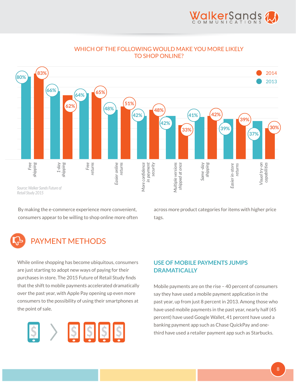

#### WHICH OF THE FOLLOWING WOULD MAKE YOU MORE LIKELY TO SHOP ONLINE?

<span id="page-7-0"></span>

By making the e-commerce experience more convenient, consumers appear to be willing to shop online more often

across more product categories for items with higher price tags.

# PAYMENT METHODS

While online shopping has become ubiquitous, consumers are just starting to adopt new ways of paying for their purchases in store. The 2015 Future of Retail Study finds that the shift to mobile payments accelerated dramatically over the past year, with Apple Pay opening up even more consumers to the possibility of using their smartphones at the point of sale.



# **USE OF MOBILE PAYMENTS JUMPS DRAMATICALLY**

Mobile payments are on the rise – 40 percent of consumers say they have used a mobile payment application in the past year, up from just 8 percent in 2013. Among those who have used mobile payments in the past year, nearly half (45 percent) have used Google Wallet, 41 percent have used a banking payment app such as Chase QuickPay and onethird have used a retailer payment app such as Starbucks.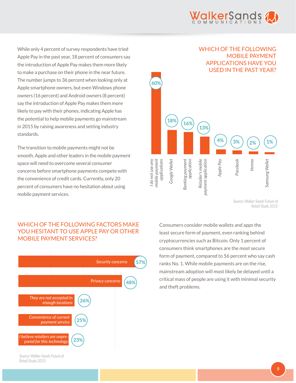

While only 4 percent of survey respondents have tried Apple Pay in the past year, 18 percent of consumers say the introduction of Apple Pay makes them more likely to make a purchase on their phone in the near future. The number jumps to 36 percent when looking only at Apple smartphone owners, but even Windows phone owners (16 percent) and Android owners (8 percent) say the introduction of Apple Pay makes them more likely to pay with their phones, indicating Apple has the potential to help mobile payments go mainstream in 2015 by raising awareness and setting industry standards.

The transition to mobile payments might not be smooth. Apple and other leaders in the mobile payment space will need to overcome several consumer concerns before smartphone payments compete with the convenience of credit cards. Currently, only 20 percent of consumers have no hesitation about using mobile payment services.



*Source: Walker Sands Future of Retail Study 2015*

#### WHICH OF THE FOLLOWING FACTORS MAKE YOU HESITANT TO USE APPLE PAY OR OTHER MOBILE PAYMENT SERVICES?



Consumers consider mobile wallets and apps the least secure form of payment, even ranking behind cryptocurrencies such as Bitcoin. Only 1 percent of consumers think smartphones are the most secure form of payment, compared to 56 percent who say cash ranks No. 1. While mobile payments are on the rise, mainstream adoption will most likely be delayed until a critical mass of people are using it with minimal security and theft problems.

*Source: Walker Sands Future of Retail Study 2015*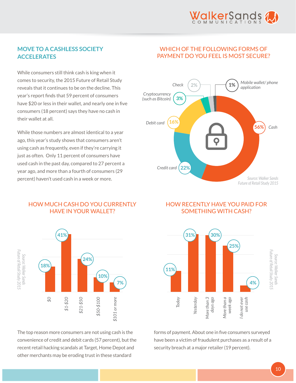

## **MOVE TO A CASHLESS SOCIETY ACCELERATES**

While consumers still think cash is king when it comes to security, the 2015 Future of Retail Study reveals that it continues to be on the decline. This year's report finds that 59 percent of consumers have \$20 or less in their wallet, and nearly one in five consumers (18 percent) says they have no cash in their wallet at all.

While those numbers are almost identical to a year ago, this year's study shows that consumers aren't using cash as frequently, even if they're carrying it just as often. Only 11 percent of consumers have used cash in the past day, compared to 27 percent a year ago, and more than a fourth of consumers (29 percent) haven't used cash in a week or more.

# WHICH OF THE FOLLOWING FORMS OF PAYMENT DO YOU FEEL IS MOST SECURE?



#### HOW RECENTLY HAVE YOU PAID FOR SOMETHING WITH CASH?



forms of payment. About one in five consumers surveyed have been a victim of fraudulent purchases as a result of a security breach at a major retailer (19 percent).

#### HOW MUCH CASH DO YOU CURRENTLY HAVE IN YOUR WALLET?



The top reason more consumers are not using cash is the convenience of credit and debit cards (57 percent), but the recent retail hacking scandals at Target, Home Depot and other merchants may be eroding trust in these standard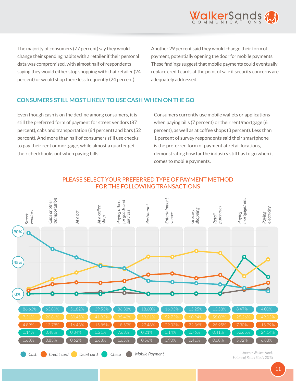

The majority of consumers (77 percent) say they would change their spending habits with a retailer if their personal data was compromised, with almost half of respondents saying they would either stop shopping with that retailer (24 percent) or would shop there less frequently (24 percent).

Another 29 percent said they would change their form of payment, potentially opening the door for mobile payments. These findings suggest that mobile payments could eventually replace credit cards at the point of sale if security concerns are adequately addressed.

#### **CONSUMERS STILL MOST LIKELY TO USE CASH WHEN ON THE GO**

Even though cash is on the decline among consumers, it is still the preferred form of payment for street vendors (87 percent), cabs and transportation (64 percent) and bars (52 percent). And more than half of consumers still use checks to pay their rent or mortgage, while almost a quarter get their checkbooks out when paying bills.

Consumers currently use mobile wallets or applications when paying bills (7 percent) or their rent/mortgage (6 percent), as well as at coffee shops (3 percent). Less than 1 percent of survey respondents said their smartphone is the preferred form of payment at retail locations, demonstrating how far the industry still has to go when it comes to mobile payments.

## PLEASE SELECT YOUR PREFERRED TYPE OF PAYMENT METHOD FOR THE FOLLOWING TRANSACTIONS

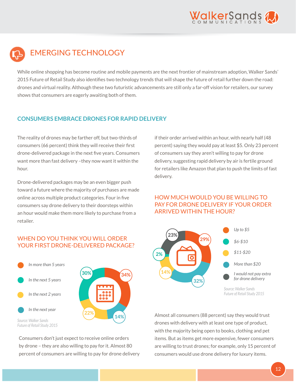

<span id="page-11-0"></span>

While online shopping has become routine and mobile payments are the next frontier of mainstream adoption, Walker Sands' 2015 Future of Retail Study also identifies two technology trends that will shape the future of retail further down the road: drones and virtual reality. Although these two futuristic advancements are still only a far-off vision for retailers, our survey shows that consumers are eagerly awaiting both of them.

#### **CONSUMERS EMBRACE DRONES FOR RAPID DELIVERY**

The reality of drones may be farther off, but two-thirds of consumers (66 percent) think they will receive their first drone-delivered package in the next five years. Consumers want more than fast delivery –they now want it within the hour.

Drone-delivered packages may be an even bigger push toward a future where the majority of purchases are made online across multiple product categories. Four in five consumers say drone delivery to their doorsteps within an hour would make them more likely to purchase from a retailer.

#### WHEN DO YOU THINK YOU WILL ORDER YOUR FIRST DRONE-DELIVERED PACKAGE?



Consumers don't just expect to receive online orders by drone – they are also willing to pay for it. Almost 80 percent of consumers are willing to pay for drone delivery if their order arrived within an hour, with nearly half (48 percent) saying they would pay at least \$5. Only 23 percent of consumers say they aren't willing to pay for drone delivery, suggesting rapid delivery by air is fertile ground for retailers like Amazon that plan to push the limits of fast delivery.

# HOW MUCH WOULD YOU BE WILLING TO PAY FOR DRONE DELIVERY IF YOUR ORDER ARRIVED WITHIN THE HOUR?



Almost all consumers (88 percent) say they would trust drones with delivery with at least one type of product, with the majority being open to books, clothing and pet items. But as items get more expensive, fewer consumers are willing to trust drones; for example, only 15 percent of consumers would use drone delivery for luxury items.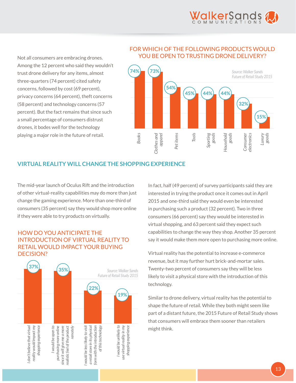

Not all consumers are embracing drones. Among the 12 percent who said they wouldn't trust drone delivery for any items, almost three-quarters (74 percent) cited safety concerns, followed by cost (69 percent), privacy concerns (64 percent), theft concerns (58 percent) and technology concerns (57 percent). But the fact remains that since such a small percentage of consumers distrust drones, it bodes well for the technology playing a major role in the future of retail.

#### FOR WHICH OF THE FOLLOWING PRODUCTS WOULD YOU BE OPEN TO TRUSTING DRONE DELIVERY?



# **VIRTUAL REALITY WILL CHANGE THE SHOPPING EXPERIENCE**

The mid-year launch of Oculus Rift and the introduction of other virtual-reality capabilities may do more than just change the gaming experience. More than one-third of consumers (35 percent) say they would shop more online if they were able to try products on virtually.

# HOW DO YOU ANTICIPATE THE INTRODUCTION OF VIRTUAL REALITY TO RETAIL WOULD IMPACT YOUR BUYING DECISION?



In fact, half (49 percent) of survey participants said they are interested in trying the product once it comes out in April 2015 and one-third said they would even be interested in purchasing such a product (32 percent). Two in three consumers (66 percent) say they would be interested in virtual shopping, and 63 percent said they expect such capabilities to change the way they shop. Another 35 percent say it would make them more open to purchasing more online.

Virtual reality has the potential to increase e-commerce revenue, but it may further hurt brick-and-mortar sales. Twenty-two percent of consumers say they will be less likely to visit a physical store with the introduction of this technology.

Similar to drone delivery, virtual reality has the potential to shape the future of retail. While they both might seem like part of a distant future, the 2015 Future of Retail Study shows that consumers will embrace them sooner than retailers might think.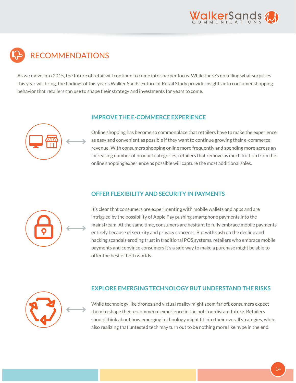

# <span id="page-13-0"></span>RECOMMENDATIONS

As we move into 2015, the future of retail will continue to come into sharper focus. While there's no telling what surprises this year will bring, the findings of this year's Walker Sands' Future of Retail Study provide insights into consumer shopping behavior that retailers can use to shape their strategy and investments for years to come.



#### **IMPROVE THE E-COMMERCE EXPERIENCE**

Online shopping has become so commonplace that retailers have to make the experience as easy and convenient as possible if they want to continue growing their e-commerce revenue. With consumers shopping online more frequently and spending more across an increasing number of product categories, retailers that remove as much friction from the online shopping experience as possible will capture the most additional sales.

## **OFFER FLEXIBILITY AND SECURITY IN PAYMENTS**



It's clear that consumers are experimenting with mobile wallets and apps and are intrigued by the possibility of Apple Pay pushing smartphone payments into the mainstream. At the same time, consumers are hesitant to fully embrace mobile payments entirely because of security and privacy concerns. But with cash on the decline and hacking scandals eroding trust in traditional POS systems, retailers who embrace mobile payments and convince consumers it's a safe way to make a purchase might be able to offer the best of both worlds.



## **EXPLORE EMERGING TECHNOLOGY BUT UNDERSTAND THE RISKS**

While technology like drones and virtual reality might seem far off, consumers expect them to shape their e-commerce experience in the not-too-distant future. Retailers should think about how emerging technology might fit into their overall strategies, while also realizing that untested tech may turn out to be nothing more like hype in the end.